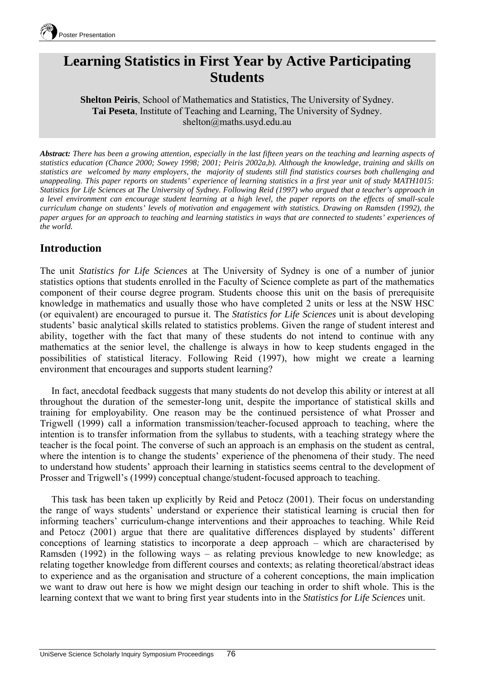

# **Learning Statistics in First Year by Active Participating Students**

**Shelton Peiris**, School of Mathematics and Statistics, The University of Sydney. **Tai Peseta**, Institute of Teaching and Learning, The University of Sydney. shelton@maths.usyd.edu.au

*Abstract: There has been a growing attention, especially in the last fifteen years on the teaching and learning aspects of statistics education (Chance 2000; Sowey 1998; 2001; Peiris 2002a,b). Although the knowledge, training and skills on statistics are welcomed by many employers, the majority of students still find statistics courses both challenging and unappealing. This paper reports on students' experience of learning statistics in a first year unit of study MATH1015: Statistics for Life Sciences at The University of Sydney. Following Reid (1997) who argued that a teacher's approach in a level environment can encourage student learning at a high level, the paper reports on the effects of small-scale curriculum change on students' levels of motivation and engagement with statistics. Drawing on Ramsden (1992), the paper argues for an approach to teaching and learning statistics in ways that are connected to students' experiences of the world.* 

## **Introduction**

The unit *Statistics for Life Sciences* at The University of Sydney is one of a number of junior statistics options that students enrolled in the Faculty of Science complete as part of the mathematics component of their course degree program. Students choose this unit on the basis of prerequisite knowledge in mathematics and usually those who have completed 2 units or less at the NSW HSC (or equivalent) are encouraged to pursue it. The *Statistics for Life Sciences* unit is about developing students' basic analytical skills related to statistics problems. Given the range of student interest and ability, together with the fact that many of these students do not intend to continue with any mathematics at the senior level, the challenge is always in how to keep students engaged in the possibilities of statistical literacy. Following Reid (1997), how might we create a learning environment that encourages and supports student learning?

In fact, anecdotal feedback suggests that many students do not develop this ability or interest at all throughout the duration of the semester-long unit, despite the importance of statistical skills and training for employability. One reason may be the continued persistence of what Prosser and Trigwell (1999) call a information transmission/teacher-focused approach to teaching, where the intention is to transfer information from the syllabus to students, with a teaching strategy where the teacher is the focal point. The converse of such an approach is an emphasis on the student as central, where the intention is to change the students' experience of the phenomena of their study. The need to understand how students' approach their learning in statistics seems central to the development of Prosser and Trigwell's (1999) conceptual change/student-focused approach to teaching.

This task has been taken up explicitly by Reid and Petocz (2001). Their focus on understanding the range of ways students' understand or experience their statistical learning is crucial then for informing teachers' curriculum-change interventions and their approaches to teaching. While Reid and Petocz (2001) argue that there are qualitative differences displayed by students' different conceptions of learning statistics to incorporate a deep approach – which are characterised by Ramsden (1992) in the following ways – as relating previous knowledge to new knowledge; as relating together knowledge from different courses and contexts; as relating theoretical/abstract ideas to experience and as the organisation and structure of a coherent conceptions, the main implication we want to draw out here is how we might design our teaching in order to shift whole. This is the learning context that we want to bring first year students into in the *Statistics for Life Sciences* unit.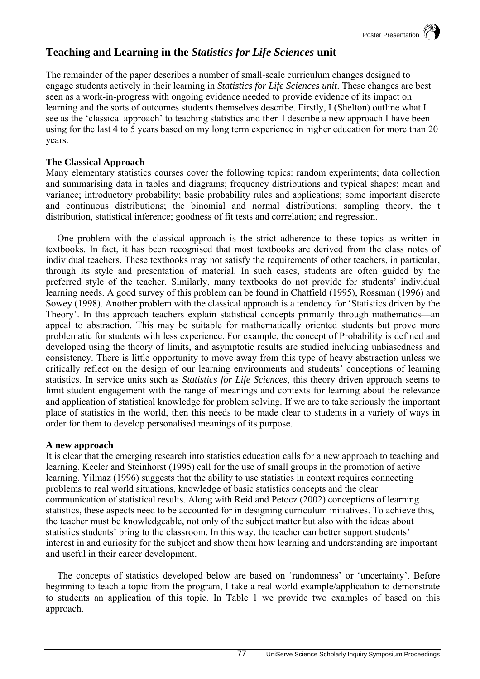# **Teaching and Learning in the** *Statistics for Life Sciences* **unit**

The remainder of the paper describes a number of small-scale curriculum changes designed to engage students actively in their learning in *Statistics for Life Sciences unit*. These changes are best seen as a work-in-progress with ongoing evidence needed to provide evidence of its impact on learning and the sorts of outcomes students themselves describe. Firstly, I (Shelton) outline what I see as the 'classical approach' to teaching statistics and then I describe a new approach I have been using for the last 4 to 5 years based on my long term experience in higher education for more than 20 years.

### **The Classical Approach**

Many elementary statistics courses cover the following topics: random experiments; data collection and summarising data in tables and diagrams; frequency distributions and typical shapes; mean and variance; introductory probability; basic probability rules and applications; some important discrete and continuous distributions; the binomial and normal distributions; sampling theory, the t distribution, statistical inference; goodness of fit tests and correlation; and regression.

One problem with the classical approach is the strict adherence to these topics as written in textbooks. In fact, it has been recognised that most textbooks are derived from the class notes of individual teachers. These textbooks may not satisfy the requirements of other teachers, in particular, through its style and presentation of material. In such cases, students are often guided by the preferred style of the teacher. Similarly, many textbooks do not provide for students' individual learning needs. A good survey of this problem can be found in Chatfield (1995), Rossman (1996) and Sowey (1998). Another problem with the classical approach is a tendency for 'Statistics driven by the Theory'. In this approach teachers explain statistical concepts primarily through mathematics—an appeal to abstraction. This may be suitable for mathematically oriented students but prove more problematic for students with less experience. For example, the concept of Probability is defined and developed using the theory of limits, and asymptotic results are studied including unbiasedness and consistency. There is little opportunity to move away from this type of heavy abstraction unless we critically reflect on the design of our learning environments and students' conceptions of learning statistics. In service units such as *Statistics for Life Sciences*, this theory driven approach seems to limit student engagement with the range of meanings and contexts for learning about the relevance and application of statistical knowledge for problem solving. If we are to take seriously the important place of statistics in the world, then this needs to be made clear to students in a variety of ways in order for them to develop personalised meanings of its purpose.

#### **A new approach**

It is clear that the emerging research into statistics education calls for a new approach to teaching and learning. Keeler and Steinhorst (1995) call for the use of small groups in the promotion of active learning. Yilmaz (1996) suggests that the ability to use statistics in context requires connecting problems to real world situations, knowledge of basic statistics concepts and the clear communication of statistical results. Along with Reid and Petocz (2002) conceptions of learning statistics, these aspects need to be accounted for in designing curriculum initiatives. To achieve this, the teacher must be knowledgeable, not only of the subject matter but also with the ideas about statistics students' bring to the classroom. In this way, the teacher can better support students' interest in and curiosity for the subject and show them how learning and understanding are important and useful in their career development.

The concepts of statistics developed below are based on 'randomness' or 'uncertainty'. Before beginning to teach a topic from the program, I take a real world example/application to demonstrate to students an application of this topic. In Table 1 we provide two examples of based on this approach.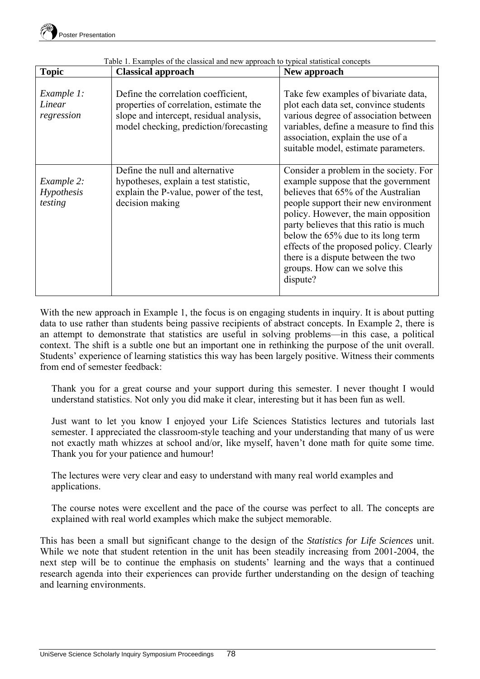| <b>Topic</b>                        | <b>Classical approach</b>                                                                                                                                           | New approach                                                                                                                                                                                                                                                                                                                                                                                                       |
|-------------------------------------|---------------------------------------------------------------------------------------------------------------------------------------------------------------------|--------------------------------------------------------------------------------------------------------------------------------------------------------------------------------------------------------------------------------------------------------------------------------------------------------------------------------------------------------------------------------------------------------------------|
| Example 1:<br>Linear<br>regression  | Define the correlation coefficient,<br>properties of correlation, estimate the<br>slope and intercept, residual analysis,<br>model checking, prediction/forecasting | Take few examples of bivariate data,<br>plot each data set, convince students<br>various degree of association between<br>variables, define a measure to find this<br>association, explain the use of a<br>suitable model, estimate parameters.                                                                                                                                                                    |
| Example 2:<br>Hypothesis<br>testing | Define the null and alternative<br>hypotheses, explain a test statistic,<br>explain the P-value, power of the test,<br>decision making                              | Consider a problem in the society. For<br>example suppose that the government<br>believes that 65% of the Australian<br>people support their new environment<br>policy. However, the main opposition<br>party believes that this ratio is much<br>below the 65% due to its long term<br>effects of the proposed policy. Clearly<br>there is a dispute between the two<br>groups. How can we solve this<br>dispute? |

Table 1. Examples of the classical and new approach to typical statistical concepts

With the new approach in Example 1, the focus is on engaging students in inquiry. It is about putting data to use rather than students being passive recipients of abstract concepts. In Example 2, there is an attempt to demonstrate that statistics are useful in solving problems—in this case, a political context. The shift is a subtle one but an important one in rethinking the purpose of the unit overall. Students' experience of learning statistics this way has been largely positive. Witness their comments from end of semester feedback:

Thank you for a great course and your support during this semester. I never thought I would understand statistics. Not only you did make it clear, interesting but it has been fun as well.

Just want to let you know I enjoyed your Life Sciences Statistics lectures and tutorials last semester. I appreciated the classroom-style teaching and your understanding that many of us were not exactly math whizzes at school and/or, like myself, haven't done math for quite some time. Thank you for your patience and humour!

The lectures were very clear and easy to understand with many real world examples and applications.

The course notes were excellent and the pace of the course was perfect to all. The concepts are explained with real world examples which make the subject memorable.

This has been a small but significant change to the design of the *Statistics for Life Sciences* unit. While we note that student retention in the unit has been steadily increasing from 2001-2004, the next step will be to continue the emphasis on students' learning and the ways that a continued research agenda into their experiences can provide further understanding on the design of teaching and learning environments.